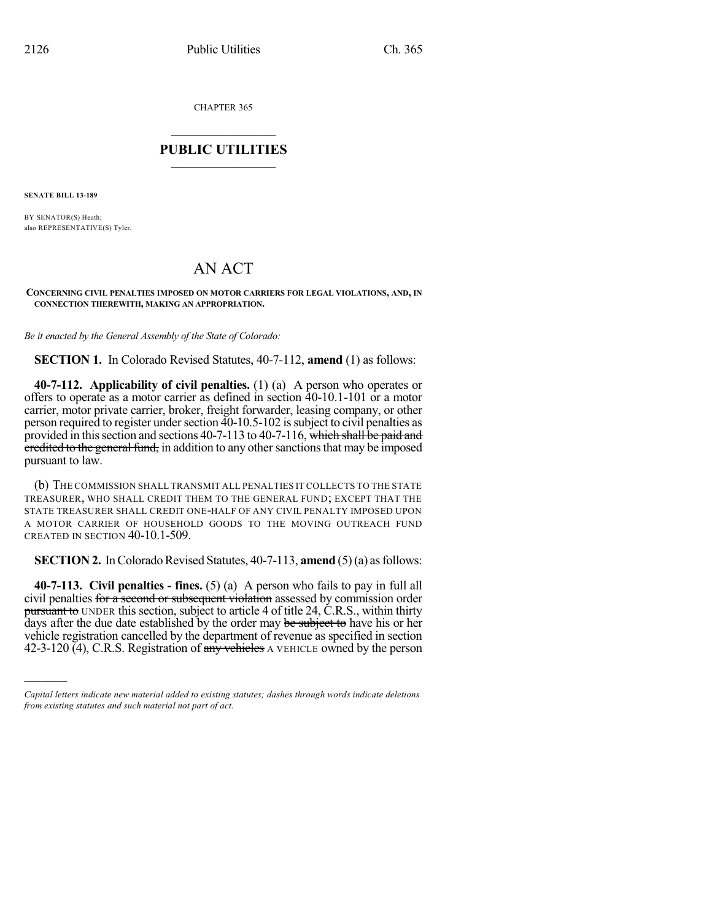CHAPTER 365

## $\mathcal{L}_\text{max}$  . The set of the set of the set of the set of the set of the set of the set of the set of the set of the set of the set of the set of the set of the set of the set of the set of the set of the set of the set **PUBLIC UTILITIES** \_\_\_\_\_\_\_\_\_\_\_\_\_\_\_

**SENATE BILL 13-189**

)))))

BY SENATOR(S) Heath; also REPRESENTATIVE(S) Tyler.

## AN ACT

## **CONCERNING CIVIL PENALTIES IMPOSED ON MOTOR CARRIERS FOR LEGAL VIOLATIONS, AND, IN CONNECTION THEREWITH, MAKING AN APPROPRIATION.**

*Be it enacted by the General Assembly of the State of Colorado:*

**SECTION 1.** In Colorado Revised Statutes, 40-7-112, **amend** (1) as follows:

**40-7-112. Applicability of civil penalties.** (1) (a) A person who operates or offers to operate as a motor carrier as defined in section 40-10.1-101 or a motor carrier, motor private carrier, broker, freight forwarder, leasing company, or other person required to register undersection 40-10.5-102 issubject to civil penalties as provided in this section and sections 40-7-113 to 40-7-116, which shall be paid and eredited to the general fund, in addition to any other sanctions that may be imposed pursuant to law.

(b) THE COMMISSION SHALL TRANSMIT ALL PENALTIES IT COLLECTS TO THE STATE TREASURER, WHO SHALL CREDIT THEM TO THE GENERAL FUND; EXCEPT THAT THE STATE TREASURER SHALL CREDIT ONE-HALF OF ANY CIVIL PENALTY IMPOSED UPON A MOTOR CARRIER OF HOUSEHOLD GOODS TO THE MOVING OUTREACH FUND CREATED IN SECTION 40-10.1-509.

**SECTION 2.** In Colorado Revised Statutes, 40-7-113, **amend** (5)(a) as follows:

**40-7-113. Civil penalties - fines.** (5) (a) A person who fails to pay in full all civil penalties for a second or subsequent violation assessed by commission order pursuant to UNDER this section, subject to article 4 of title 24, C.R.S., within thirty days after the due date established by the order may be subject to have his or her vehicle registration cancelled by the department of revenue as specified in section 42-3-120 (4), C.R.S. Registration of any vehicles A VEHICLE owned by the person

*Capital letters indicate new material added to existing statutes; dashes through words indicate deletions from existing statutes and such material not part of act.*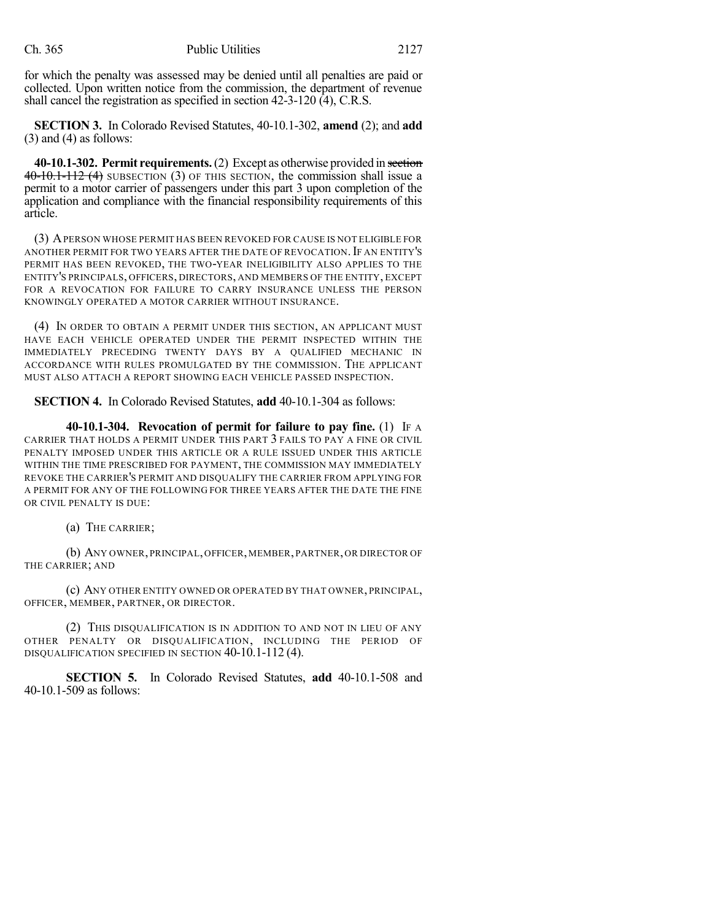for which the penalty was assessed may be denied until all penalties are paid or collected. Upon written notice from the commission, the department of revenue shall cancel the registration as specified in section 42-3-120 (4), C.R.S.

**SECTION 3.** In Colorado Revised Statutes, 40-10.1-302, **amend** (2); and **add**  $(3)$  and  $(4)$  as follows:

**40-10.1-302. Permit requirements.**(2) Except as otherwise provided in section 40-10.1-112 (4) SUBSECTION (3) OF THIS SECTION, the commission shall issue a permit to a motor carrier of passengers under this part 3 upon completion of the application and compliance with the financial responsibility requirements of this article.

(3) APERSON WHOSE PERMIT HAS BEEN REVOKED FOR CAUSE IS NOT ELIGIBLE FOR ANOTHER PERMIT FOR TWO YEARS AFTER THE DATE OF REVOCATION. IF AN ENTITY'S PERMIT HAS BEEN REVOKED, THE TWO-YEAR INELIGIBILITY ALSO APPLIES TO THE ENTITY'S PRINCIPALS, OFFICERS, DIRECTORS, AND MEMBERS OF THE ENTITY, EXCEPT FOR A REVOCATION FOR FAILURE TO CARRY INSURANCE UNLESS THE PERSON KNOWINGLY OPERATED A MOTOR CARRIER WITHOUT INSURANCE.

(4) IN ORDER TO OBTAIN A PERMIT UNDER THIS SECTION, AN APPLICANT MUST HAVE EACH VEHICLE OPERATED UNDER THE PERMIT INSPECTED WITHIN THE IMMEDIATELY PRECEDING TWENTY DAYS BY A QUALIFIED MECHANIC IN ACCORDANCE WITH RULES PROMULGATED BY THE COMMISSION. THE APPLICANT MUST ALSO ATTACH A REPORT SHOWING EACH VEHICLE PASSED INSPECTION.

**SECTION 4.** In Colorado Revised Statutes, **add** 40-10.1-304 as follows:

**40-10.1-304. Revocation of permit for failure to pay fine.** (1) IF A CARRIER THAT HOLDS A PERMIT UNDER THIS PART 3 FAILS TO PAY A FINE OR CIVIL PENALTY IMPOSED UNDER THIS ARTICLE OR A RULE ISSUED UNDER THIS ARTICLE WITHIN THE TIME PRESCRIBED FOR PAYMENT, THE COMMISSION MAY IMMEDIATELY REVOKE THE CARRIER'S PERMIT AND DISQUALIFY THE CARRIER FROM APPLYING FOR A PERMIT FOR ANY OF THE FOLLOWING FOR THREE YEARS AFTER THE DATE THE FINE OR CIVIL PENALTY IS DUE:

(a) THE CARRIER;

(b) ANY OWNER, PRINCIPAL, OFFICER, MEMBER, PARTNER, OR DIRECTOR OF THE CARRIER; AND

(c) ANY OTHER ENTITY OWNED OR OPERATED BY THAT OWNER, PRINCIPAL, OFFICER, MEMBER, PARTNER, OR DIRECTOR.

(2) THIS DISQUALIFICATION IS IN ADDITION TO AND NOT IN LIEU OF ANY OTHER PENALTY OR DISQUALIFICATION, INCLUDING THE PERIOD OF DISQUALIFICATION SPECIFIED IN SECTION 40-10.1-112 (4).

**SECTION 5.** In Colorado Revised Statutes, **add** 40-10.1-508 and 40-10.1-509 as follows: